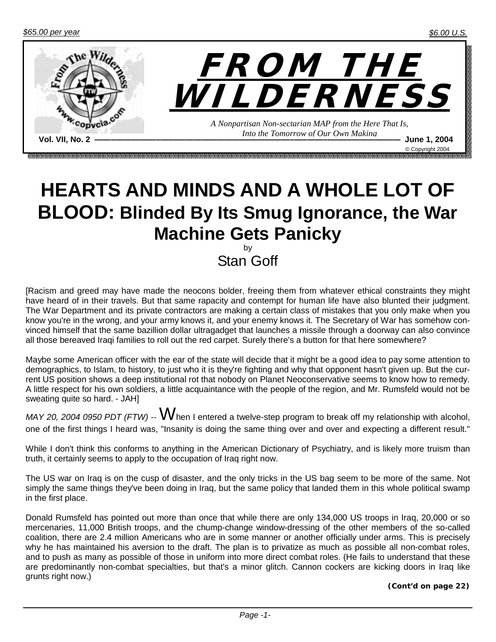

## **HEARTS AND MINDS AND A WHOLE LOT OF BLOOD: Blinded By Its Smug Ignorance, the War Machine Gets Panicky**

by Stan Goff

[Racism and greed may have made the neocons bolder, freeing them from whatever ethical constraints they might have heard of in their travels. But that same rapacity and contempt for human life have also blunted their judgment. The War Department and its private contractors are making a certain class of mistakes that you only make when you know you're in the wrong, and your army knows it, and your enemy knows it. The Secretary of War has somehow convinced himself that the same bazillion dollar ultragadget that launches a missile through a doorway can also convince all those bereaved Iraqi families to roll out the red carpet. Surely there's a button for that here somewhere?

Maybe some American officer with the ear of the state will decide that it might be a good idea to pay some attention to demographics, to Islam, to history, to just who it is they're fighting and why that opponent hasn't given up. But the current US position shows a deep institutional rot that nobody on Planet Neoconservative seems to know how to remedy. A little respect for his own soldiers, a little acquaintance with the people of the region, and Mr. Rumsfeld would not be sweating quite so hard. - JAH]

*MAY 20, 2004 0950 PDT (FTW)* -- When I entered a twelve-step program to break off my relationship with alcohol, one of the first things I heard was, "Insanity is doing the same thing over and over and expecting a different result."

While I don't think this conforms to anything in the American Dictionary of Psychiatry, and is likely more truism than truth, it certainly seems to apply to the occupation of Iraq right now.

The US war on Iraq is on the cusp of disaster, and the only tricks in the US bag seem to be more of the same. Not simply the same things they've been doing in Iraq, but the same policy that landed them in this whole political swamp in the first place.

Donald Rumsfeld has pointed out more than once that while there are only 134,000 US troops in Iraq, 20,000 or so mercenaries, 11,000 British troops, and the chump-change window-dressing of the other members of the so-called coalition, there are 2.4 million Americans who are in some manner or another officially under arms. This is precisely why he has maintained his aversion to the draft. The plan is to privatize as much as possible all non-combat roles, and to push as many as possible of those in uniform into more direct combat roles. (He fails to understand that these are predominantly non-combat specialties, but that's a minor glitch. Cannon cockers are kicking doors in Iraq like grunts right now.)

*(Cont'd on page 22)*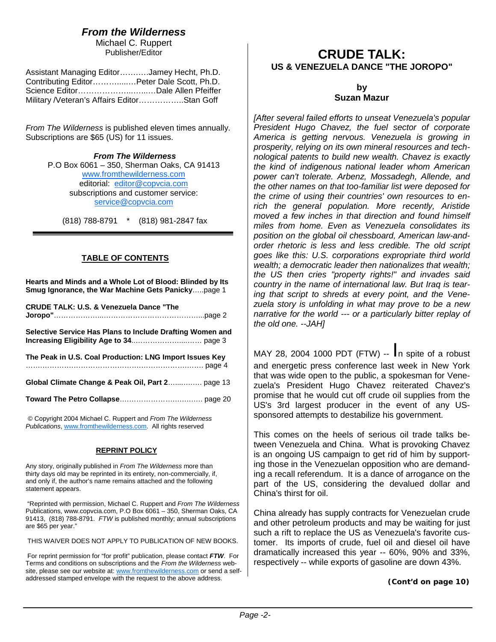### *From the Wilderness*

Michael C. Ruppert Publisher/Editor

| Assistant Managing EditorJamey Hecht, Ph.D. |  |
|---------------------------------------------|--|
| Contributing EditorPeter Dale Scott, Ph.D.  |  |
|                                             |  |
| Military /Veteran's Affairs EditorStan Goff |  |

*From The Wilderness* is published eleven times annually. Subscriptions are \$65 (US) for 11 issues.

> *From The Wilderness*  P.O Box 6061 – 350, Sherman Oaks, CA 91413 www.fromthewilderness.com editorial: editor@copvcia.com subscriptions and customer service: service@copvcia.com

(818) 788-8791 \* (818) 981-2847 fax

#### **TABLE OF CONTENTS**

**Hearts and Minds and a Whole Lot of Blood: Blinded by Its Smug Ignorance, the War Machine Gets Panicky**…..page 1

**CRUDE TALK: U.S. & Venezuela Dance "The Joropo"**………………...…………………………………...page 2

**Selective Service Has Plans to Include Drafting Women and Increasing Eligibility Age to 34**..………………....…… page 3

**The Peak in U.S. Coal Production: LNG Import Issues Key**  …….………….……………………….……………….……. page 4

**Global Climate Change & Peak Oil, Part 2**…....….…. page 13

**Toward The Petro Collapse**….……………….….….…. page 20

© Copyright 2004 Michael C. Ruppert and *From The Wilderness Publications*, www.fromthewilderness.com. All rights reserved

#### **REPRINT POLICY**

Any story, originally published in *From The Wilderness* more than thirty days old may be reprinted in its entirety, non-commercially, if, and only if, the author's name remains attached and the following statement appears.

 "Reprinted with permission, Michael C. Ruppert and *From The Wilderness* Publications, www.copvcia.com, P.O Box 6061 – 350, Sherman Oaks, CA 91413, (818) 788-8791. *FTW* is published monthly; annual subscriptions are \$65 per year."

THIS WAIVER DOES NOT APPLY TO PUBLICATION OF NEW BOOKS.

 For reprint permission for "for profit" publication, please contact *FTW*. For Terms and conditions on subscriptions and the *From the Wilderness* website, please see our website at: www.fromthewilderness.com or send a selfaddressed stamped envelope with the request to the above address.

### **CRUDE TALK: US & VENEZUELA DANCE "THE JOROPO"**

#### **by Suzan Mazur**

*[After several failed efforts to unseat Venezuela's popular President Hugo Chavez, the fuel sector of corporate America is getting nervous. Venezuela is growing in prosperity, relying on its own mineral resources and technological patents to build new wealth. Chavez is exactly the kind of indigenous national leader whom American power can't tolerate. Arbenz, Mossadegh, Allende, and the other names on that too-familiar list were deposed for the crime of using their countries' own resources to enrich the general population. More recently, Aristide moved a few inches in that direction and found himself miles from home. Even as Venezuela consolidates its position on the global oil chessboard, American law-andorder rhetoric is less and less credible. The old script goes like this: U.S. corporations expropriate third world wealth; a democratic leader then nationalizes that wealth; the US then cries "property rights!" and invades said country in the name of international law. But Iraq is tearing that script to shreds at every point, and the Venezuela story is unfolding in what may prove to be a new narrative for the world --- or a particularly bitter replay of the old one. --JAH]* 

MAY 28, 2004 1000 PDT (FTW) -- In spite of a robust and energetic press conference last week in New York that was wide open to the public, a spokesman for Venezuela's President Hugo Chavez reiterated Chavez's promise that he would cut off crude oil supplies from the US's 3rd largest producer in the event of any USsponsored attempts to destabilize his government.

This comes on the heels of serious oil trade talks between Venezuela and China. What is provoking Chavez is an ongoing US campaign to get rid of him by supporting those in the Venezuelan opposition who are demanding a recall referendum. It is a dance of arrogance on the part of the US, considering the devalued dollar and China's thirst for oil.

China already has supply contracts for Venezuelan crude and other petroleum products and may be waiting for just such a rift to replace the US as Venezuela's favorite customer. Its imports of crude, fuel oil and diesel oil have dramatically increased this year -- 60%, 90% and 33%, respectively -- while exports of gasoline are down 43%.

*(Cont'd on page 10)*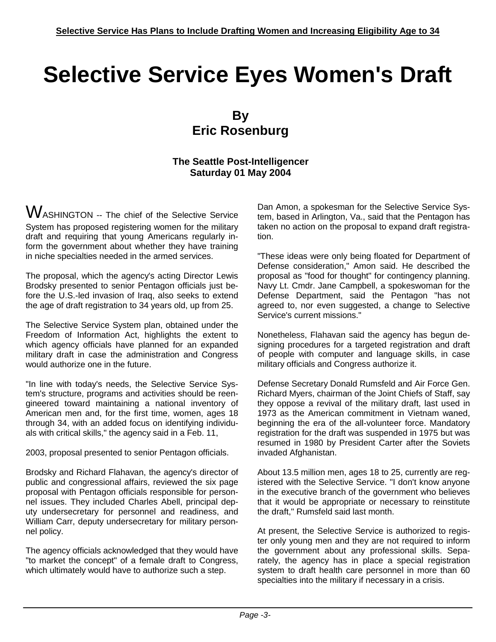# **Selective Service Eyes Women's Draft**

### **By Eric Rosenburg**

#### **The Seattle Post-Intelligencer Saturday 01 May 2004**

WASHINGTON -- The chief of the Selective Service System has proposed registering women for the military draft and requiring that young Americans regularly inform the government about whether they have training in niche specialties needed in the armed services.

The proposal, which the agency's acting Director Lewis Brodsky presented to senior Pentagon officials just before the U.S.-led invasion of Iraq, also seeks to extend the age of draft registration to 34 years old, up from 25.

The Selective Service System plan, obtained under the Freedom of Information Act, highlights the extent to which agency officials have planned for an expanded military draft in case the administration and Congress would authorize one in the future.

"In line with today's needs, the Selective Service System's structure, programs and activities should be reengineered toward maintaining a national inventory of American men and, for the first time, women, ages 18 through 34, with an added focus on identifying individuals with critical skills," the agency said in a Feb. 11,

2003, proposal presented to senior Pentagon officials.

Brodsky and Richard Flahavan, the agency's director of public and congressional affairs, reviewed the six page proposal with Pentagon officials responsible for personnel issues. They included Charles Abell, principal deputy undersecretary for personnel and readiness, and William Carr, deputy undersecretary for military personnel policy.

The agency officials acknowledged that they would have "to market the concept" of a female draft to Congress, which ultimately would have to authorize such a step.

Dan Amon, a spokesman for the Selective Service System, based in Arlington, Va., said that the Pentagon has taken no action on the proposal to expand draft registration.

"These ideas were only being floated for Department of Defense consideration," Amon said. He described the proposal as "food for thought" for contingency planning. Navy Lt. Cmdr. Jane Campbell, a spokeswoman for the Defense Department, said the Pentagon "has not agreed to, nor even suggested, a change to Selective Service's current missions."

Nonetheless, Flahavan said the agency has begun designing procedures for a targeted registration and draft of people with computer and language skills, in case military officials and Congress authorize it.

Defense Secretary Donald Rumsfeld and Air Force Gen. Richard Myers, chairman of the Joint Chiefs of Staff, say they oppose a revival of the military draft, last used in 1973 as the American commitment in Vietnam waned, beginning the era of the all-volunteer force. Mandatory registration for the draft was suspended in 1975 but was resumed in 1980 by President Carter after the Soviets invaded Afghanistan.

About 13.5 million men, ages 18 to 25, currently are registered with the Selective Service. "I don't know anyone in the executive branch of the government who believes that it would be appropriate or necessary to reinstitute the draft," Rumsfeld said last month.

At present, the Selective Service is authorized to register only young men and they are not required to inform the government about any professional skills. Separately, the agency has in place a special registration system to draft health care personnel in more than 60 specialties into the military if necessary in a crisis.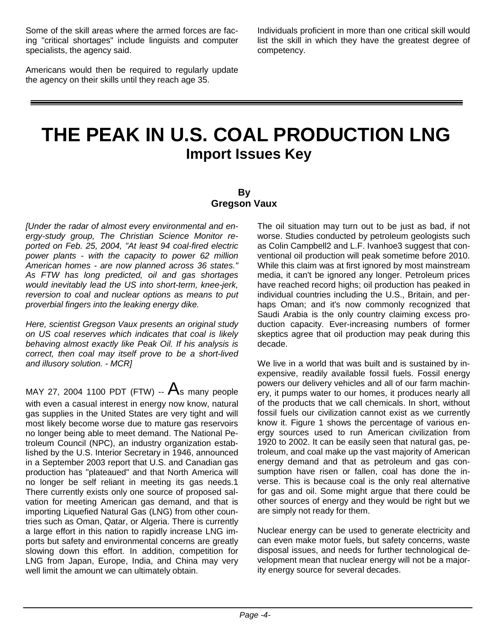Some of the skill areas where the armed forces are facing "critical shortages" include linguists and computer specialists, the agency said.

Americans would then be required to regularly update the agency on their skills until they reach age 35.

Individuals proficient in more than one critical skill would list the skill in which they have the greatest degree of competency.

## **THE PEAK IN U.S. COAL PRODUCTION LNG Import Issues Key**

#### **By Gregson Vaux**

*[Under the radar of almost every environmental and energy-study group, The Christian Science Monitor reported on Feb. 25, 2004, "At least 94 coal-fired electric power plants - with the capacity to power 62 million American homes - are now planned across 36 states." As FTW has long predicted, oil and gas shortages would inevitably lead the US into short-term, knee-jerk, reversion to coal and nuclear options as means to put proverbial fingers into the leaking energy dike.* 

*Here, scientist Gregson Vaux presents an original study on US coal reserves which indicates that coal is likely behaving almost exactly like Peak Oil. If his analysis is correct, then coal may itself prove to be a short-lived and illusory solution. - MCR]* 

MAY 27, 2004 1100 PDT (FTW) --  $A_s$  many people with even a casual interest in energy now know, natural gas supplies in the United States are very tight and will most likely become worse due to mature gas reservoirs no longer being able to meet demand. The National Petroleum Council (NPC), an industry organization established by the U.S. Interior Secretary in 1946, announced in a September 2003 report that U.S. and Canadian gas production has "plateaued" and that North America will no longer be self reliant in meeting its gas needs.1 There currently exists only one source of proposed salvation for meeting American gas demand, and that is importing Liquefied Natural Gas (LNG) from other countries such as Oman, Qatar, or Algeria. There is currently a large effort in this nation to rapidly increase LNG imports but safety and environmental concerns are greatly slowing down this effort. In addition, competition for LNG from Japan, Europe, India, and China may very well limit the amount we can ultimately obtain.

The oil situation may turn out to be just as bad, if not worse. Studies conducted by petroleum geologists such as Colin Campbell2 and L.F. Ivanhoe3 suggest that conventional oil production will peak sometime before 2010. While this claim was at first ignored by most mainstream media, it can't be ignored any longer. Petroleum prices have reached record highs; oil production has peaked in individual countries including the U.S., Britain, and perhaps Oman; and it's now commonly recognized that Saudi Arabia is the only country claiming excess production capacity. Ever-increasing numbers of former skeptics agree that oil production may peak during this decade.

We live in a world that was built and is sustained by inexpensive, readily available fossil fuels. Fossil energy powers our delivery vehicles and all of our farm machinery, it pumps water to our homes, it produces nearly all of the products that we call chemicals. In short, without fossil fuels our civilization cannot exist as we currently know it. Figure 1 shows the percentage of various energy sources used to run American civilization from 1920 to 2002. It can be easily seen that natural gas, petroleum, and coal make up the vast majority of American energy demand and that as petroleum and gas consumption have risen or fallen, coal has done the inverse. This is because coal is the only real alternative for gas and oil. Some might argue that there could be other sources of energy and they would be right but we are simply not ready for them.

Nuclear energy can be used to generate electricity and can even make motor fuels, but safety concerns, waste disposal issues, and needs for further technological development mean that nuclear energy will not be a majority energy source for several decades.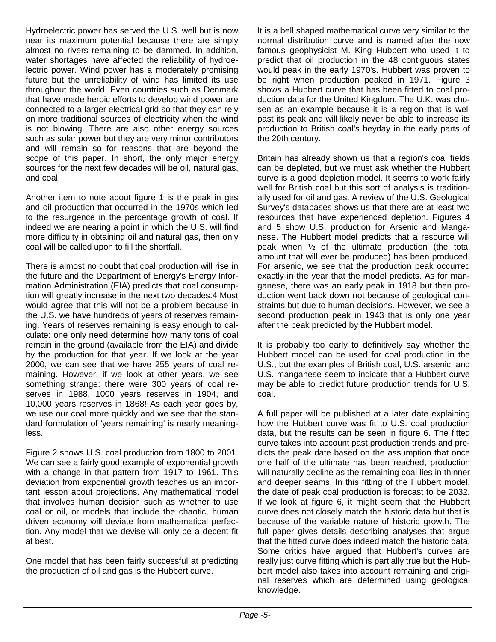Hydroelectric power has served the U.S. well but is now near its maximum potential because there are simply almost no rivers remaining to be dammed. In addition, water shortages have affected the reliability of hydroelectric power. Wind power has a moderately promising future but the unreliability of wind has limited its use throughout the world. Even countries such as Denmark that have made heroic efforts to develop wind power are connected to a larger electrical grid so that they can rely on more traditional sources of electricity when the wind is not blowing. There are also other energy sources such as solar power but they are very minor contributors and will remain so for reasons that are beyond the scope of this paper. In short, the only major energy sources for the next few decades will be oil, natural gas, and coal.

Another item to note about figure 1 is the peak in gas and oil production that occurred in the 1970s which led to the resurgence in the percentage growth of coal. If indeed we are nearing a point in which the U.S. will find more difficulty in obtaining oil and natural gas, then only coal will be called upon to fill the shortfall.

There is almost no doubt that coal production will rise in the future and the Department of Energy's Energy Information Administration (EIA) predicts that coal consumption will greatly increase in the next two decades.4 Most would agree that this will not be a problem because in the U.S. we have hundreds of years of reserves remaining. Years of reserves remaining is easy enough to calculate: one only need determine how many tons of coal remain in the ground (available from the EIA) and divide by the production for that year. If we look at the year 2000, we can see that we have 255 years of coal remaining. However, if we look at other years, we see something strange: there were 300 years of coal reserves in 1988, 1000 years reserves in 1904, and 10,000 years reserves in 1868! As each year goes by, we use our coal more quickly and we see that the standard formulation of 'years remaining' is nearly meaningless.

Figure 2 shows U.S. coal production from 1800 to 2001. We can see a fairly good example of exponential growth with a change in that pattern from 1917 to 1961. This deviation from exponential growth teaches us an important lesson about projections. Any mathematical model that involves human decision such as whether to use coal or oil, or models that include the chaotic, human driven economy will deviate from mathematical perfection. Any model that we devise will only be a decent fit at best.

One model that has been fairly successful at predicting the production of oil and gas is the Hubbert curve.

It is a bell shaped mathematical curve very similar to the normal distribution curve and is named after the now famous geophysicist M. King Hubbert who used it to predict that oil production in the 48 contiguous states would peak in the early 1970's. Hubbert was proven to be right when production peaked in 1971. Figure 3 shows a Hubbert curve that has been fitted to coal production data for the United Kingdom. The U.K. was chosen as an example because it is a region that is well past its peak and will likely never be able to increase its production to British coal's heyday in the early parts of the 20th century.

Britain has already shown us that a region's coal fields can be depleted, but we must ask whether the Hubbert curve is a good depletion model. It seems to work fairly well for British coal but this sort of analysis is traditionally used for oil and gas. A review of the U.S. Geological Survey's databases shows us that there are at least two resources that have experienced depletion. Figures 4 and 5 show U.S. production for Arsenic and Manganese. The Hubbert model predicts that a resource will peak when ½ of the ultimate production (the total amount that will ever be produced) has been produced. For arsenic, we see that the production peak occurred exactly in the year that the model predicts. As for manganese, there was an early peak in 1918 but then production went back down not because of geological constraints but due to human decisions. However, we see a second production peak in 1943 that is only one year after the peak predicted by the Hubbert model.

It is probably too early to definitively say whether the Hubbert model can be used for coal production in the U.S., but the examples of British coal, U.S. arsenic, and U.S. manganese seem to indicate that a Hubbert curve may be able to predict future production trends for U.S. coal.

A full paper will be published at a later date explaining how the Hubbert curve was fit to U.S. coal production data, but the results can be seen in figure 6. The fitted curve takes into account past production trends and predicts the peak date based on the assumption that once one half of the ultimate has been reached, production will naturally decline as the remaining coal lies in thinner and deeper seams. In this fitting of the Hubbert model, the date of peak coal production is forecast to be 2032. If we look at figure 6, it might seem that the Hubbert curve does not closely match the historic data but that is because of the variable nature of historic growth. The full paper gives details describing analyses that argue that the fitted curve does indeed match the historic data. Some critics have argued that Hubbert's curves are really just curve fitting which is partially true but the Hubbert model also takes into account remaining and original reserves which are determined using geological knowledge.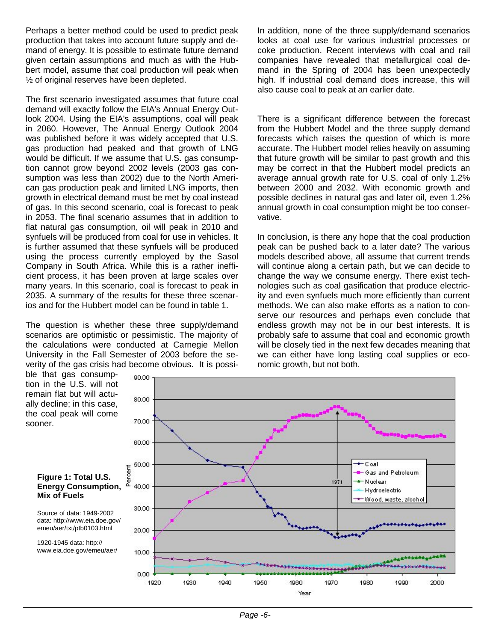Perhaps a better method could be used to predict peak production that takes into account future supply and demand of energy. It is possible to estimate future demand given certain assumptions and much as with the Hubbert model, assume that coal production will peak when ½ of original reserves have been depleted.

The first scenario investigated assumes that future coal demand will exactly follow the EIA's Annual Energy Outlook 2004. Using the EIA's assumptions, coal will peak in 2060. However, The Annual Energy Outlook 2004 was published before it was widely accepted that U.S. gas production had peaked and that growth of LNG would be difficult. If we assume that U.S. gas consumption cannot grow beyond 2002 levels (2003 gas consumption was less than 2002) due to the North American gas production peak and limited LNG imports, then growth in electrical demand must be met by coal instead of gas. In this second scenario, coal is forecast to peak in 2053. The final scenario assumes that in addition to flat natural gas consumption, oil will peak in 2010 and synfuels will be produced from coal for use in vehicles. It is further assumed that these synfuels will be produced using the process currently employed by the Sasol Company in South Africa. While this is a rather inefficient process, it has been proven at large scales over many years. In this scenario, coal is forecast to peak in 2035. A summary of the results for these three scenarios and for the Hubbert model can be found in table 1.

The question is whether these three supply/demand scenarios are optimistic or pessimistic. The majority of the calculations were conducted at Carnegie Mellon University in the Fall Semester of 2003 before the severity of the gas crisis had become obvious. It is possi-

90.00

In addition, none of the three supply/demand scenarios looks at coal use for various industrial processes or coke production. Recent interviews with coal and rail companies have revealed that metallurgical coal demand in the Spring of 2004 has been unexpectedly high. If industrial coal demand does increase, this will also cause coal to peak at an earlier date.

There is a significant difference between the forecast from the Hubbert Model and the three supply demand forecasts which raises the question of which is more accurate. The Hubbert model relies heavily on assuming that future growth will be similar to past growth and this may be correct in that the Hubbert model predicts an average annual growth rate for U.S. coal of only 1.2% between 2000 and 2032. With economic growth and possible declines in natural gas and later oil, even 1.2% annual growth in coal consumption might be too conservative.

In conclusion, is there any hope that the coal production peak can be pushed back to a later date? The various models described above, all assume that current trends will continue along a certain path, but we can decide to change the way we consume energy. There exist technologies such as coal gasification that produce electricity and even synfuels much more efficiently than current methods. We can also make efforts as a nation to conserve our resources and perhaps even conclude that endless growth may not be in our best interests. It is probably safe to assume that coal and economic growth will be closely tied in the next few decades meaning that we can either have long lasting coal supplies or economic growth, but not both.

ble that gas consumption in the U.S. will not remain flat but will actually decline; in this case, the coal peak will come sooner.



#### **Figure 1: Total U.S. Energy Consumption, Mix of Fuels**

Source of data: 1949-2002 data: http://www.eia.doe.gov/ emeu/aer/txt/ptb0103.html

1920-1945 data: http:// www.eia.doe.gov/emeu/aer/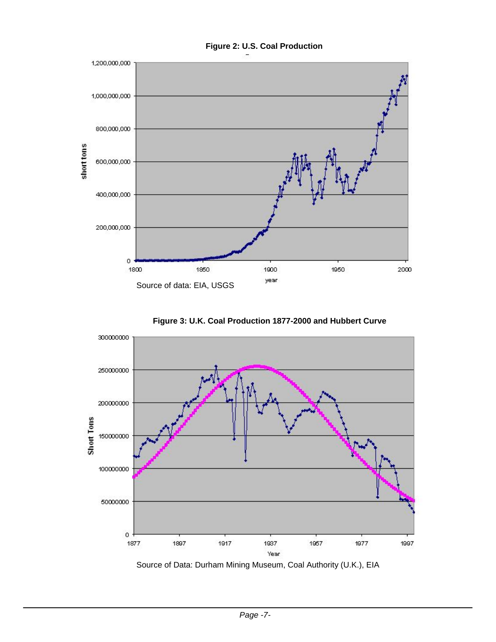

**Figure 3: U.K. Coal Production 1877-2000 and Hubbert Curve** 



Source of Data: Durham Mining Museum, Coal Authority (U.K.), EIA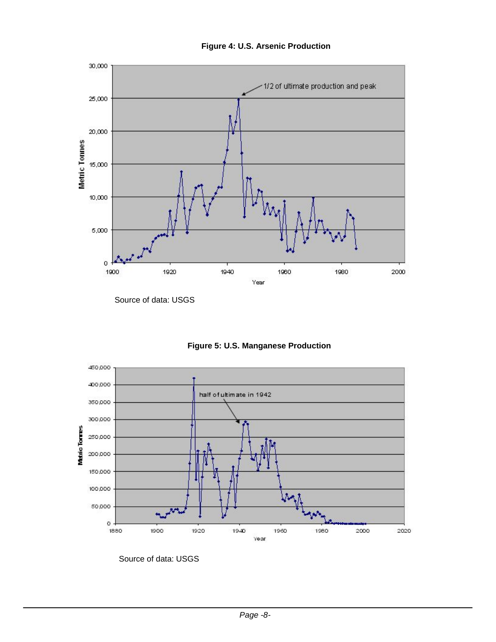

**Figure 4: U.S. Arsenic Production** 

Source of data: USGS





Source of data: USGS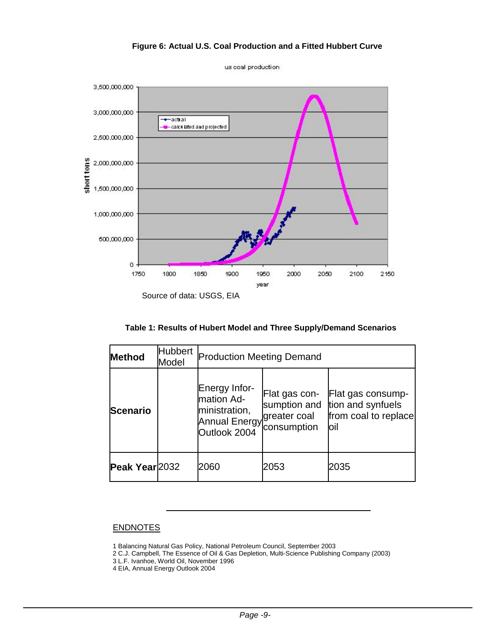#### **Figure 6: Actual U.S. Coal Production and a Fitted Hubbert Curve**



us coal production

Source of data: USGS, EIA

| <b>Method</b>   | <b>Hubbert</b><br>Model | <b>Production Meeting Demand</b>                                                     |                                                              |                                                                        |  |
|-----------------|-------------------------|--------------------------------------------------------------------------------------|--------------------------------------------------------------|------------------------------------------------------------------------|--|
| <b>Scenario</b> |                         | Energy Infor-<br>mation Ad-<br>ministration,<br><b>Annual Energy</b><br>Outlook 2004 | Flat gas con-<br>sumption and<br>greater coal<br>consumption | Flat gas consump-<br>tion and synfuels<br>from coal to replace<br>loil |  |
| Peak Year 2032  |                         | 2060                                                                                 | 2053                                                         | 2035                                                                   |  |

#### **ENDNOTES**

1 Balancing Natural Gas Policy, National Petroleum Council, September 2003

2 C.J. Campbell, The Essence of Oil & Gas Depletion, Multi-Science Publishing Company (2003)

3 L.F. Ivanhoe, World Oil, November 1996

4 EIA, Annual Energy Outlook 2004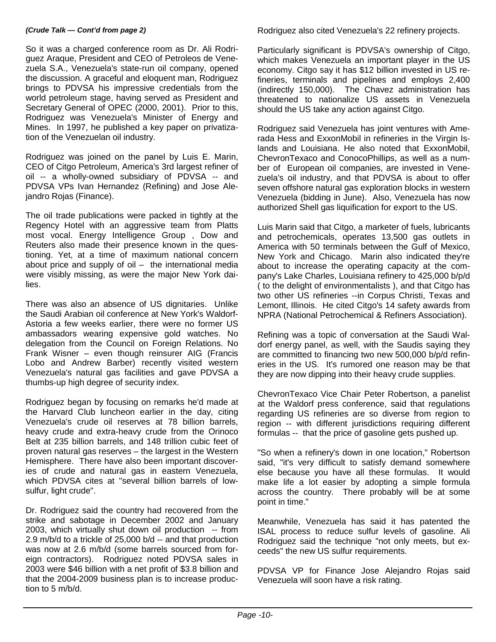#### *(Crude Talk — Cont'd from page 2)*

So it was a charged conference room as Dr. Ali Rodriguez Araque, President and CEO of Petroleos de Venezuela S.A., Venezuela's state-run oil company, opened the discussion. A graceful and eloquent man, Rodriguez brings to PDVSA his impressive credentials from the world petroleum stage, having served as President and Secretary General of OPEC (2000, 2001). Prior to this, Rodriguez was Venezuela's Minister of Energy and Mines. In 1997, he published a key paper on privatization of the Venezuelan oil industry.

Rodriguez was joined on the panel by Luis E. Marin, CEO of Citgo Petroleum, America's 3rd largest refiner of oil -- a wholly-owned subsidiary of PDVSA -- and PDVSA VPs Ivan Hernandez (Refining) and Jose Alejandro Rojas (Finance).

The oil trade publications were packed in tightly at the Regency Hotel with an aggressive team from Platts most vocal. Energy Intelligence Group , Dow and Reuters also made their presence known in the questioning. Yet, at a time of maximum national concern about price and supply of  $oil - the international media$ were visibly missing, as were the major New York dailies.

There was also an absence of US dignitaries. Unlike the Saudi Arabian oil conference at New York's Waldorf-Astoria a few weeks earlier, there were no former US ambassadors wearing expensive gold watches. No delegation from the Council on Foreign Relations. No Frank Wisner – even though reinsurer AIG (Francis Lobo and Andrew Barber) recently visited western Venezuela's natural gas facilities and gave PDVSA a thumbs-up high degree of security index.

Rodriguez began by focusing on remarks he'd made at the Harvard Club luncheon earlier in the day, citing Venezuela's crude oil reserves at 78 billion barrels, heavy crude and extra-heavy crude from the Orinoco Belt at 235 billion barrels, and 148 trillion cubic feet of proven natural gas reserves – the largest in the Western Hemisphere. There have also been important discoveries of crude and natural gas in eastern Venezuela, which PDVSA cites at "several billion barrels of lowsulfur, light crude".

Dr. Rodriguez said the country had recovered from the strike and sabotage in December 2002 and January 2003, which virtually shut down oil production -- from 2.9 m/b/d to a trickle of 25,000 b/d -- and that production was now at 2.6 m/b/d (some barrels sourced from foreign contractors). Rodriguez noted PDVSA sales in 2003 were \$46 billion with a net profit of \$3.8 billion and that the 2004-2009 business plan is to increase production to 5 m/b/d.

Rodriguez also cited Venezuela's 22 refinery projects.

Particularly significant is PDVSA's ownership of Citgo, which makes Venezuela an important player in the US economy. Citgo say it has \$12 billion invested in US refineries, terminals and pipelines and employs 2,400 (indirectly 150,000). The Chavez administration has threatened to nationalize US assets in Venezuela should the US take any action against Citgo.

Rodriguez said Venezuela has joint ventures with Amerada Hess and ExxonMobil in refineries in the Virgin Islands and Louisiana. He also noted that ExxonMobil, ChevronTexaco and ConocoPhillips, as well as a number of European oil companies, are invested in Venezuela's oil industry, and that PDVSA is about to offer seven offshore natural gas exploration blocks in western Venezuela (bidding in June). Also, Venezuela has now authorized Shell gas liquification for export to the US.

Luis Marin said that Citgo, a marketer of fuels, lubricants and petrochemicals, operates 13,500 gas outlets in America with 50 terminals between the Gulf of Mexico, New York and Chicago. Marin also indicated they're about to increase the operating capacity at the company's Lake Charles, Louisiana refinery to 425,000 b/p/d ( to the delight of environmentalists ), and that Citgo has two other US refineries --in Corpus Christi, Texas and Lemont, Illinois. He cited Citgo's 14 safety awards from NPRA (National Petrochemical & Refiners Association).

Refining was a topic of conversation at the Saudi Waldorf energy panel, as well, with the Saudis saying they are committed to financing two new 500,000 b/p/d refineries in the US. It's rumored one reason may be that they are now dipping into their heavy crude supplies.

ChevronTexaco Vice Chair Peter Robertson, a panelist at the Waldorf press conference, said that regulations regarding US refineries are so diverse from region to region -- with different jurisdictions requiring different formulas -- that the price of gasoline gets pushed up.

"So when a refinery's down in one location," Robertson said, "it's very difficult to satisfy demand somewhere else because you have all these formulas. It would make life a lot easier by adopting a simple formula across the country. There probably will be at some point in time."

Meanwhile, Venezuela has said it has patented the ISAL process to reduce sulfur levels of gasoline. Ali Rodriguez said the technique "not only meets, but exceeds" the new US sulfur requirements.

PDVSA VP for Finance Jose Alejandro Rojas said Venezuela will soon have a risk rating.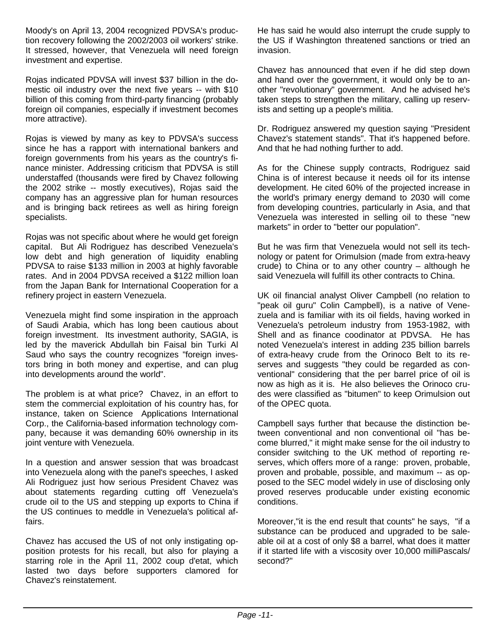Moody's on April 13, 2004 recognized PDVSA's production recovery following the 2002/2003 oil workers' strike. It stressed, however, that Venezuela will need foreign investment and expertise.

Rojas indicated PDVSA will invest \$37 billion in the domestic oil industry over the next five years -- with \$10 billion of this coming from third-party financing (probably foreign oil companies, especially if investment becomes more attractive).

Rojas is viewed by many as key to PDVSA's success since he has a rapport with international bankers and foreign governments from his years as the country's finance minister. Addressing criticism that PDVSA is still understaffed (thousands were fired by Chavez following the 2002 strike -- mostly executives), Rojas said the company has an aggressive plan for human resources and is bringing back retirees as well as hiring foreign specialists.

Rojas was not specific about where he would get foreign capital. But Ali Rodriguez has described Venezuela's low debt and high generation of liquidity enabling PDVSA to raise \$133 million in 2003 at highly favorable rates. And in 2004 PDVSA received a \$122 million loan from the Japan Bank for International Cooperation for a refinery project in eastern Venezuela.

Venezuela might find some inspiration in the approach of Saudi Arabia, which has long been cautious about foreign investment. Its investment authority, SAGIA, is led by the maverick Abdullah bin Faisal bin Turki Al Saud who says the country recognizes "foreign investors bring in both money and expertise, and can plug into developments around the world".

The problem is at what price? Chavez, in an effort to stem the commercial exploitation of his country has, for instance, taken on Science Applications International Corp., the California-based information technology company, because it was demanding 60% ownership in its joint venture with Venezuela.

In a question and answer session that was broadcast into Venezuela along with the panel's speeches, I asked Ali Rodriguez just how serious President Chavez was about statements regarding cutting off Venezuela's crude oil to the US and stepping up exports to China if the US continues to meddle in Venezuela's political affairs.

Chavez has accused the US of not only instigating opposition protests for his recall, but also for playing a starring role in the April 11, 2002 coup d'etat, which lasted two days before supporters clamored for Chavez's reinstatement.

He has said he would also interrupt the crude supply to the US if Washington threatened sanctions or tried an invasion.

Chavez has announced that even if he did step down and hand over the government, it would only be to another "revolutionary" government. And he advised he's taken steps to strengthen the military, calling up reservists and setting up a people's militia.

Dr. Rodriguez answered my question saying "President Chavez's statement stands". That it's happened before. And that he had nothing further to add.

As for the Chinese supply contracts, Rodriguez said China is of interest because it needs oil for its intense development. He cited 60% of the projected increase in the world's primary energy demand to 2030 will come from developing countries, particularly in Asia, and that Venezuela was interested in selling oil to these "new markets" in order to "better our population".

But he was firm that Venezuela would not sell its technology or patent for Orimulsion (made from extra-heavy crude) to China or to any other country – although he said Venezuela will fulfill its other contracts to China.

UK oil financial analyst Oliver Campbell (no relation to "peak oil guru" Colin Campbell), is a native of Venezuela and is familiar with its oil fields, having worked in Venezuela's petroleum industry from 1953-1982, with Shell and as finance coodinator at PDVSA. He has noted Venezuela's interest in adding 235 billion barrels of extra-heavy crude from the Orinoco Belt to its reserves and suggests "they could be regarded as conventional" considering that the per barrel price of oil is now as high as it is. He also believes the Orinoco crudes were classified as "bitumen" to keep Orimulsion out of the OPEC quota.

Campbell says further that because the distinction between conventional and non conventional oil "has become blurred," it might make sense for the oil industry to consider switching to the UK method of reporting reserves, which offers more of a range: proven, probable, proven and probable, possible, and maximum -- as opposed to the SEC model widely in use of disclosing only proved reserves producable under existing economic conditions.

Moreover,"it is the end result that counts" he says, "if a substance can be produced and upgraded to be saleable oil at a cost of only \$8 a barrel, what does it matter if it started life with a viscosity over 10,000 milliPascals/ second?"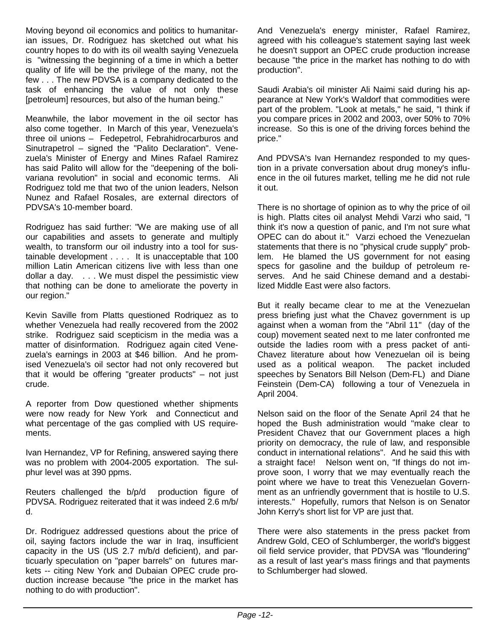Moving beyond oil economics and politics to humanitarian issues, Dr. Rodriguez has sketched out what his country hopes to do with its oil wealth saying Venezuela is "witnessing the beginning of a time in which a better quality of life will be the privilege of the many, not the few . . . The new PDVSA is a company dedicated to the task of enhancing the value of not only these [petroleum] resources, but also of the human being."

Meanwhile, the labor movement in the oil sector has also come together. In March of this year, Venezuela's three oil unions – Fedepetrol, Febrahidrocarburos and Sinutrapetrol – signed the "Palito Declaration". Venezuela's Minister of Energy and Mines Rafael Ramirez has said Palito will allow for the "deepening of the bolivariana revolution" in social and economic terms. Ali Rodriguez told me that two of the union leaders, Nelson Nunez and Rafael Rosales, are external directors of PDVSA's 10-member board.

Rodriguez has said further: "We are making use of all our capabilities and assets to generate and multiply wealth, to transform our oil industry into a tool for sustainable development . . . . It is unacceptable that 100 million Latin American citizens live with less than one dollar a day. . . . We must dispel the pessimistic view that nothing can be done to ameliorate the poverty in our region."

Kevin Saville from Platts questioned Rodriquez as to whether Venezuela had really recovered from the 2002 strike. Rodriguez said scepticism in the media was a matter of disinformation. Rodriguez again cited Venezuela's earnings in 2003 at \$46 billion. And he promised Venezuela's oil sector had not only recovered but that it would be offering "greater products" – not just crude.

A reporter from Dow questioned whether shipments were now ready for New York and Connecticut and what percentage of the gas complied with US requirements.

Ivan Hernandez, VP for Refining, answered saying there was no problem with 2004-2005 exportation. The sulphur level was at 390 ppms.

Reuters challenged the b/p/d production figure of PDVSA. Rodriguez reiterated that it was indeed 2.6 m/b/ d.

Dr. Rodriguez addressed questions about the price of oil, saying factors include the war in Iraq, insufficient capacity in the US (US 2.7 m/b/d deficient), and particuarly speculation on "paper barrels" on futures markets -- citing New York and Dubaian OPEC crude production increase because "the price in the market has nothing to do with production".

And Venezuela's energy minister, Rafael Ramirez, agreed with his colleague's statement saying last week he doesn't support an OPEC crude production increase because "the price in the market has nothing to do with production".

Saudi Arabia's oil minister Ali Naimi said during his appearance at New York's Waldorf that commodities were part of the problem. "Look at metals," he said, "I think if you compare prices in 2002 and 2003, over 50% to 70% increase. So this is one of the driving forces behind the price."

And PDVSA's Ivan Hernandez responded to my question in a private conversation about drug money's influence in the oil futures market, telling me he did not rule it out.

There is no shortage of opinion as to why the price of oil is high. Platts cites oil analyst Mehdi Varzi who said, "I think it's now a question of panic, and I'm not sure what OPEC can do about it." Varzi echoed the Venezuelan statements that there is no "physical crude supply" problem. He blamed the US government for not easing specs for gasoline and the buildup of petroleum reserves. And he said Chinese demand and a destabilized Middle East were also factors.

But it really became clear to me at the Venezuelan press briefing just what the Chavez government is up against when a woman from the "Abril 11" (day of the coup) movement seated next to me later confronted me outside the ladies room with a press packet of anti-Chavez literature about how Venezuelan oil is being used as a political weapon. The packet included speeches by Senators Bill Nelson (Dem-FL) and Diane Feinstein (Dem-CA) following a tour of Venezuela in April 2004.

Nelson said on the floor of the Senate April 24 that he hoped the Bush administration would "make clear to President Chavez that our Government places a high priority on democracy, the rule of law, and responsible conduct in international relations". And he said this with a straight face! Nelson went on, "If things do not improve soon, I worry that we may eventually reach the point where we have to treat this Venezuelan Government as an unfriendly government that is hostile to U.S. interests." Hopefully, rumors that Nelson is on Senator John Kerry's short list for VP are just that.

There were also statements in the press packet from Andrew Gold, CEO of Schlumberger, the world's biggest oil field service provider, that PDVSA was "floundering" as a result of last year's mass firings and that payments to Schlumberger had slowed.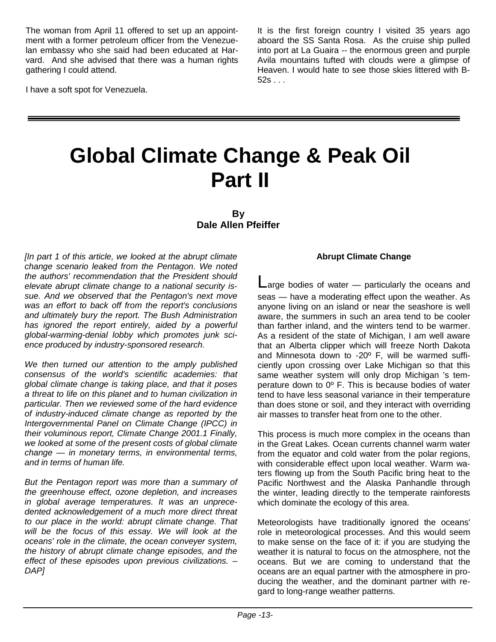The woman from April 11 offered to set up an appointment with a former petroleum officer from the Venezuelan embassy who she said had been educated at Harvard. And she advised that there was a human rights gathering I could attend.

I have a soft spot for Venezuela.

It is the first foreign country I visited 35 years ago aboard the SS Santa Rosa. As the cruise ship pulled into port at La Guaira -- the enormous green and purple Avila mountains tufted with clouds were a glimpse of Heaven. I would hate to see those skies littered with B- $52s$  . . .

# **Global Climate Change & Peak Oil Part II**

**By Dale Allen Pfeiffer** 

*[In part 1 of this article, we looked at the abrupt climate change scenario leaked from the Pentagon. We noted the authors' recommendation that the President should elevate abrupt climate change to a national security issue. And we observed that the Pentagon's next move was an effort to back off from the report's conclusions and ultimately bury the report. The Bush Administration has ignored the report entirely, aided by a powerful global-warming-denial lobby which promotes junk science produced by industry-sponsored research.* 

*We then turned our attention to the amply published consensus of the world's scientific academies: that global climate change is taking place, and that it poses a threat to life on this planet and to human civilization in particular. Then we reviewed some of the hard evidence of industry-induced climate change as reported by the Intergovernmental Panel on Climate Change (IPCC) in their voluminous report, Climate Change 2001.1 Finally, we looked at some of the present costs of global climate change — in monetary terms, in environmental terms, and in terms of human life.* 

*But the Pentagon report was more than a summary of the greenhouse effect, ozone depletion, and increases in global average temperatures. It was an unprecedented acknowledgement of a much more direct threat to our place in the world: abrupt climate change. That will be the focus of this essay. We will look at the oceans' role in the climate, the ocean conveyer system, the history of abrupt climate change episodes, and the effect of these episodes upon previous civilizations. – DAP]* 

#### **Abrupt Climate Change**

 $angle$  bodies of water  $-$  particularly the oceans and seas — have a moderating effect upon the weather. As anyone living on an island or near the seashore is well aware, the summers in such an area tend to be cooler than farther inland, and the winters tend to be warmer. As a resident of the state of Michigan, I am well aware that an Alberta clipper which will freeze North Dakota and Minnesota down to -20º F, will be warmed sufficiently upon crossing over Lake Michigan so that this same weather system will only drop Michigan 's temperature down to 0º F. This is because bodies of water tend to have less seasonal variance in their temperature than does stone or soil, and they interact with overriding air masses to transfer heat from one to the other.

This process is much more complex in the oceans than in the Great Lakes. Ocean currents channel warm water from the equator and cold water from the polar regions, with considerable effect upon local weather. Warm waters flowing up from the South Pacific bring heat to the Pacific Northwest and the Alaska Panhandle through the winter, leading directly to the temperate rainforests which dominate the ecology of this area.

Meteorologists have traditionally ignored the oceans' role in meteorological processes. And this would seem to make sense on the face of it: if you are studying the weather it is natural to focus on the atmosphere, not the oceans. But we are coming to understand that the oceans are an equal partner with the atmosphere in producing the weather, and the dominant partner with regard to long-range weather patterns.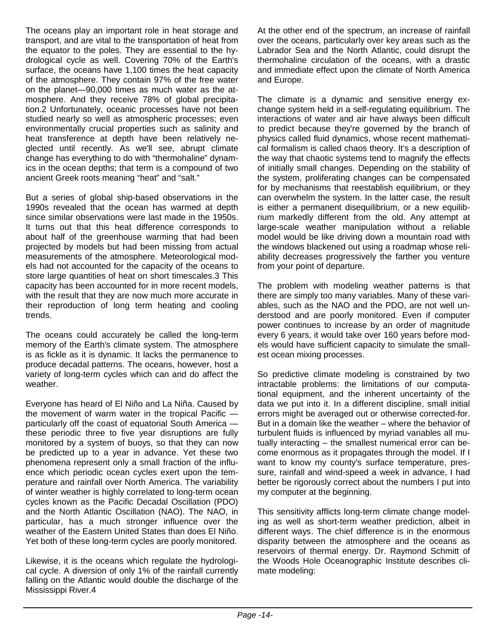The oceans play an important role in heat storage and transport, and are vital to the transportation of heat from the equator to the poles. They are essential to the hydrological cycle as well. Covering 70% of the Earth's surface, the oceans have 1,100 times the heat capacity of the atmosphere. They contain 97% of the free water on the planet—90,000 times as much water as the atmosphere. And they receive 78% of global precipitation.2 Unfortunately, oceanic processes have not been studied nearly so well as atmospheric processes; even environmentally crucial properties such as salinity and heat transference at depth have been relatively neglected until recently. As we'll see, abrupt climate change has everything to do with "thermohaline" dynamics in the ocean depths; that term is a compound of two ancient Greek roots meaning "heat" and "salt."

But a series of global ship-based observations in the 1990s revealed that the ocean has warmed at depth since similar observations were last made in the 1950s. It turns out that this heat difference corresponds to about half of the greenhouse warming that had been projected by models but had been missing from actual measurements of the atmosphere. Meteorological models had not accounted for the capacity of the oceans to store large quantities of heat on short timescales.3 This capacity has been accounted for in more recent models, with the result that they are now much more accurate in their reproduction of long term heating and cooling trends.

The oceans could accurately be called the long-term memory of the Earth's climate system. The atmosphere is as fickle as it is dynamic. It lacks the permanence to produce decadal patterns. The oceans, however, host a variety of long-term cycles which can and do affect the weather.

Everyone has heard of El Niño and La Niña. Caused by the movement of warm water in the tropical Pacific particularly off the coast of equatorial South America these periodic three to five year disruptions are fully monitored by a system of buoys, so that they can now be predicted up to a year in advance. Yet these two phenomena represent only a small fraction of the influence which periodic ocean cycles exert upon the temperature and rainfall over North America. The variability of winter weather is highly correlated to long-term ocean cycles known as the Pacific Decadal Oscillation (PDO) and the North Atlantic Oscillation (NAO). The NAO, in particular, has a much stronger influence over the weather of the Eastern United States than does El Niño. Yet both of these long-term cycles are poorly monitored.

Likewise, it is the oceans which regulate the hydrological cycle. A diversion of only 1% of the rainfall currently falling on the Atlantic would double the discharge of the Mississippi River.4

At the other end of the spectrum, an increase of rainfall over the oceans, particularly over key areas such as the Labrador Sea and the North Atlantic, could disrupt the thermohaline circulation of the oceans, with a drastic and immediate effect upon the climate of North America and Europe.

The climate is a dynamic and sensitive energy exchange system held in a self-regulating equilibrium. The interactions of water and air have always been difficult to predict because they're governed by the branch of physics called fluid dynamics, whose recent mathematical formalism is called chaos theory. It's a description of the way that chaotic systems tend to magnify the effects of initially small changes. Depending on the stability of the system, proliferating changes can be compensated for by mechanisms that reestablish equilibrium, or they can overwhelm the system. In the latter case, the result is either a permanent disequilibrium, or a new equilibrium markedly different from the old. Any attempt at large-scale weather manipulation without a reliable model would be like driving down a mountain road with the windows blackened out using a roadmap whose reliability decreases progressively the farther you venture from your point of departure.

The problem with modeling weather patterns is that there are simply too many variables. Many of these variables, such as the NAO and the PDO, are not well understood and are poorly monitored. Even if computer power continues to increase by an order of magnitude every 6 years, it would take over 160 years before models would have sufficient capacity to simulate the smallest ocean mixing processes.

So predictive climate modeling is constrained by two intractable problems: the limitations of our computational equipment, and the inherent uncertainty of the data we put into it. In a different discipline, small initial errors might be averaged out or otherwise corrected-for. But in a domain like the weather – where the behavior of turbulent fluids is influenced by myriad variables all mutually interacting – the smallest numerical error can become enormous as it propagates through the model. If I want to know my county's surface temperature, pressure, rainfall and wind-speed a week in advance, I had better be rigorously correct about the numbers I put into my computer at the beginning.

This sensitivity afflicts long-term climate change modeling as well as short-term weather prediction, albeit in different ways. The chief difference is in the enormous disparity between the atmosphere and the oceans as reservoirs of thermal energy. Dr. Raymond Schmitt of the Woods Hole Oceanographic Institute describes climate modeling: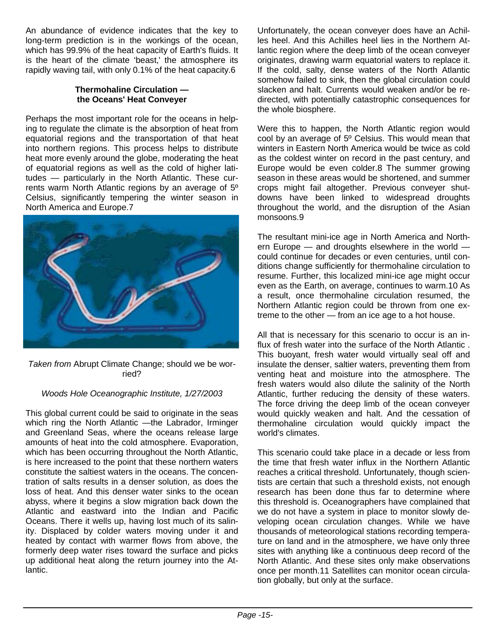An abundance of evidence indicates that the key to long-term prediction is in the workings of the ocean, which has 99.9% of the heat capacity of Earth's fluids. It is the heart of the climate 'beast,' the atmosphere its rapidly waving tail, with only 0.1% of the heat capacity.6

#### **Thermohaline Circulation the Oceans' Heat Conveyer**

Perhaps the most important role for the oceans in helping to regulate the climate is the absorption of heat from equatorial regions and the transportation of that heat into northern regions. This process helps to distribute heat more evenly around the globe, moderating the heat of equatorial regions as well as the cold of higher latitudes — particularly in the North Atlantic. These currents warm North Atlantic regions by an average of 5º Celsius, significantly tempering the winter season in North America and Europe.7



*Taken from* Abrupt Climate Change; should we be worried?

#### *Woods Hole Oceanographic Institute, 1/27/2003*

This global current could be said to originate in the seas which ring the North Atlantic —the Labrador, Irminger and Greenland Seas, where the oceans release large amounts of heat into the cold atmosphere. Evaporation, which has been occurring throughout the North Atlantic, is here increased to the point that these northern waters constitute the saltiest waters in the oceans. The concentration of salts results in a denser solution, as does the loss of heat. And this denser water sinks to the ocean abyss, where it begins a slow migration back down the Atlantic and eastward into the Indian and Pacific Oceans. There it wells up, having lost much of its salinity. Displaced by colder waters moving under it and heated by contact with warmer flows from above, the formerly deep water rises toward the surface and picks up additional heat along the return journey into the Atlantic.

Unfortunately, the ocean conveyer does have an Achilles heel. And this Achilles heel lies in the Northern Atlantic region where the deep limb of the ocean conveyer originates, drawing warm equatorial waters to replace it. If the cold, salty, dense waters of the North Atlantic somehow failed to sink, then the global circulation could slacken and halt. Currents would weaken and/or be redirected, with potentially catastrophic consequences for the whole biosphere.

Were this to happen, the North Atlantic region would cool by an average of 5º Celsius. This would mean that winters in Eastern North America would be twice as cold as the coldest winter on record in the past century, and Europe would be even colder.8 The summer growing season in these areas would be shortened, and summer crops might fail altogether. Previous conveyer shutdowns have been linked to widespread droughts throughout the world, and the disruption of the Asian monsoons.9

The resultant mini-ice age in North America and Northern Europe  $-$  and droughts elsewhere in the world could continue for decades or even centuries, until conditions change sufficiently for thermohaline circulation to resume. Further, this localized mini-ice age might occur even as the Earth, on average, continues to warm.10 As a result, once thermohaline circulation resumed, the Northern Atlantic region could be thrown from one extreme to the other — from an ice age to a hot house.

All that is necessary for this scenario to occur is an influx of fresh water into the surface of the North Atlantic . This buoyant, fresh water would virtually seal off and insulate the denser, saltier waters, preventing them from venting heat and moisture into the atmosphere. The fresh waters would also dilute the salinity of the North Atlantic, further reducing the density of these waters. The force driving the deep limb of the ocean conveyer would quickly weaken and halt. And the cessation of thermohaline circulation would quickly impact the world's climates.

This scenario could take place in a decade or less from the time that fresh water influx in the Northern Atlantic reaches a critical threshold. Unfortunately, though scientists are certain that such a threshold exists, not enough research has been done thus far to determine where this threshold is. Oceanographers have complained that we do not have a system in place to monitor slowly developing ocean circulation changes. While we have thousands of meteorological stations recording temperature on land and in the atmosphere, we have only three sites with anything like a continuous deep record of the North Atlantic. And these sites only make observations once per month.11 Satellites can monitor ocean circulation globally, but only at the surface.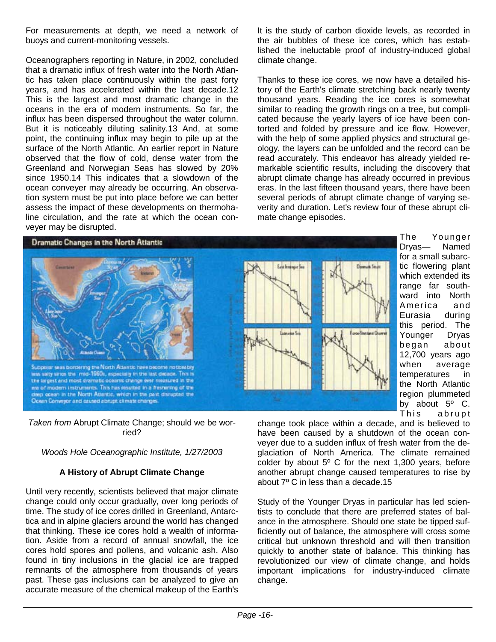For measurements at depth, we need a network of buoys and current-monitoring vessels.

Oceanographers reporting in Nature, in 2002, concluded that a dramatic influx of fresh water into the North Atlantic has taken place continuously within the past forty years, and has accelerated within the last decade.12 This is the largest and most dramatic change in the oceans in the era of modern instruments. So far, the influx has been dispersed throughout the water column. But it is noticeably diluting salinity.13 And, at some point, the continuing influx may begin to pile up at the surface of the North Atlantic. An earlier report in Nature observed that the flow of cold, dense water from the Greenland and Norwegian Seas has slowed by 20% since 1950.14 This indicates that a slowdown of the ocean conveyer may already be occurring. An observation system must be put into place before we can better assess the impact of these developments on thermohaline circulation, and the rate at which the ocean conveyer may be disrupted.

It is the study of carbon dioxide levels, as recorded in the air bubbles of these ice cores, which has established the ineluctable proof of industry-induced global climate change.

Thanks to these ice cores, we now have a detailed history of the Earth's climate stretching back nearly twenty thousand years. Reading the ice cores is somewhat similar to reading the growth rings on a tree, but complicated because the yearly layers of ice have been contorted and folded by pressure and ice flow. However, with the help of some applied physics and structural geology, the layers can be unfolded and the record can be read accurately. This endeavor has already yielded remarkable scientific results, including the discovery that abrupt climate change has already occurred in previous eras. In the last fifteen thousand years, there have been several periods of abrupt climate change of varying severity and duration. Let's review four of these abrupt climate change episodes.



The Younger Dryas— Named for a small subarctic flowering plant which extended its range far southward into North America and Eurasia during this period. The Younger Dryas be gan about 12,700 years ago when average temperatures in the North Atlantic region plummeted by about  $5^{\circ}$  C. This abrupt

*Taken from* Abrupt Climate Change; should we be worried?

#### *Woods Hole Oceanographic Institute, 1/27/2003*

#### **A History of Abrupt Climate Change**

Until very recently, scientists believed that major climate change could only occur gradually, over long periods of time. The study of ice cores drilled in Greenland, Antarctica and in alpine glaciers around the world has changed that thinking. These ice cores hold a wealth of information. Aside from a record of annual snowfall, the ice cores hold spores and pollens, and volcanic ash. Also found in tiny inclusions in the glacial ice are trapped remnants of the atmosphere from thousands of years past. These gas inclusions can be analyzed to give an accurate measure of the chemical makeup of the Earth's

change took place within a decade, and is believed to have been caused by a shutdown of the ocean conveyer due to a sudden influx of fresh water from the deglaciation of North America. The climate remained colder by about  $5^{\circ}$  C for the next 1,300 years, before another abrupt change caused temperatures to rise by about 7º C in less than a decade.15

Study of the Younger Dryas in particular has led scientists to conclude that there are preferred states of balance in the atmosphere. Should one state be tipped sufficiently out of balance, the atmosphere will cross some critical but unknown threshold and will then transition quickly to another state of balance. This thinking has revolutionized our view of climate change, and holds important implications for industry-induced climate change.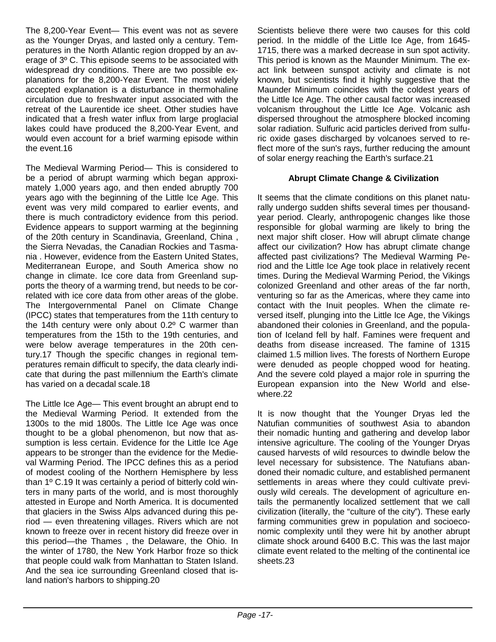The 8,200-Year Event— This event was not as severe as the Younger Dryas, and lasted only a century. Temperatures in the North Atlantic region dropped by an average of 3º C. This episode seems to be associated with widespread dry conditions. There are two possible explanations for the 8,200-Year Event. The most widely accepted explanation is a disturbance in thermohaline circulation due to freshwater input associated with the retreat of the Laurentide ice sheet. Other studies have indicated that a fresh water influx from large proglacial lakes could have produced the 8,200-Year Event, and would even account for a brief warming episode within the event.16

The Medieval Warming Period— This is considered to be a period of abrupt warming which began approximately 1,000 years ago, and then ended abruptly 700 years ago with the beginning of the Little Ice Age. This event was very mild compared to earlier events, and there is much contradictory evidence from this period. Evidence appears to support warming at the beginning of the 20th century in Scandinavia, Greenland, China , the Sierra Nevadas, the Canadian Rockies and Tasmania . However, evidence from the Eastern United States, Mediterranean Europe, and South America show no change in climate. Ice core data from Greenland supports the theory of a warming trend, but needs to be correlated with ice core data from other areas of the globe. The Intergovernmental Panel on Climate Change (IPCC) states that temperatures from the 11th century to the 14th century were only about 0.2º C warmer than temperatures from the 15th to the 19th centuries, and were below average temperatures in the 20th century.17 Though the specific changes in regional temperatures remain difficult to specify, the data clearly indicate that during the past millennium the Earth's climate has varied on a decadal scale.18

The Little Ice Age— This event brought an abrupt end to the Medieval Warming Period. It extended from the 1300s to the mid 1800s. The Little Ice Age was once thought to be a global phenomenon, but now that assumption is less certain. Evidence for the Little Ice Age appears to be stronger than the evidence for the Medieval Warming Period. The IPCC defines this as a period of modest cooling of the Northern Hemisphere by less than 1º C.19 It was certainly a period of bitterly cold winters in many parts of the world, and is most thoroughly attested in Europe and North America. It is documented that glaciers in the Swiss Alps advanced during this period — even threatening villages. Rivers which are not known to freeze over in recent history did freeze over in this period—the Thames , the Delaware, the Ohio. In the winter of 1780, the New York Harbor froze so thick that people could walk from Manhattan to Staten Island. And the sea ice surrounding Greenland closed that island nation's harbors to shipping.20

Scientists believe there were two causes for this cold period. In the middle of the Little Ice Age, from 1645- 1715, there was a marked decrease in sun spot activity. This period is known as the Maunder Minimum. The exact link between sunspot activity and climate is not known, but scientists find it highly suggestive that the Maunder Minimum coincides with the coldest years of the Little Ice Age. The other causal factor was increased volcanism throughout the Little Ice Age. Volcanic ash dispersed throughout the atmosphere blocked incoming solar radiation. Sulfuric acid particles derived from sulfuric oxide gases discharged by volcanoes served to reflect more of the sun's rays, further reducing the amount of solar energy reaching the Earth's surface.21

#### **Abrupt Climate Change & Civilization**

It seems that the climate conditions on this planet naturally undergo sudden shifts several times per thousandyear period. Clearly, anthropogenic changes like those responsible for global warming are likely to bring the next major shift closer. How will abrupt climate change affect our civilization? How has abrupt climate change affected past civilizations? The Medieval Warming Period and the Little Ice Age took place in relatively recent times. During the Medieval Warming Period, the Vikings colonized Greenland and other areas of the far north, venturing so far as the Americas, where they came into contact with the Inuit peoples. When the climate reversed itself, plunging into the Little Ice Age, the Vikings abandoned their colonies in Greenland, and the population of Iceland fell by half. Famines were frequent and deaths from disease increased. The famine of 1315 claimed 1.5 million lives. The forests of Northern Europe were denuded as people chopped wood for heating. And the severe cold played a major role in spurring the European expansion into the New World and elsewhere.22

It is now thought that the Younger Dryas led the Natufian communities of southwest Asia to abandon their nomadic hunting and gathering and develop labor intensive agriculture. The cooling of the Younger Dryas caused harvests of wild resources to dwindle below the level necessary for subsistence. The Natufians abandoned their nomadic culture, and established permanent settlements in areas where they could cultivate previously wild cereals. The development of agriculture entails the permanently localized settlement that we call civilization (literally, the "culture of the city"). These early farming communities grew in population and socioeconomic complexity until they were hit by another abrupt climate shock around 6400 B.C. This was the last major climate event related to the melting of the continental ice sheets.23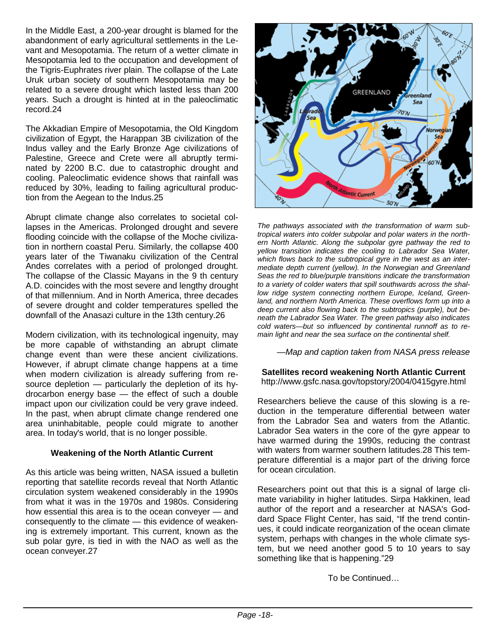In the Middle East, a 200-year drought is blamed for the abandonment of early agricultural settlements in the Levant and Mesopotamia. The return of a wetter climate in Mesopotamia led to the occupation and development of the Tigris-Euphrates river plain. The collapse of the Late Uruk urban society of southern Mesopotamia may be related to a severe drought which lasted less than 200 years. Such a drought is hinted at in the paleoclimatic record.24

The Akkadian Empire of Mesopotamia, the Old Kingdom civilization of Egypt, the Harappan 3B civilization of the Indus valley and the Early Bronze Age civilizations of Palestine, Greece and Crete were all abruptly terminated by 2200 B.C. due to catastrophic drought and cooling. Paleoclimatic evidence shows that rainfall was reduced by 30%, leading to failing agricultural production from the Aegean to the Indus.25

Abrupt climate change also correlates to societal collapses in the Americas. Prolonged drought and severe flooding coincide with the collapse of the Moche civilization in northern coastal Peru. Similarly, the collapse 400 years later of the Tiwanaku civilization of the Central Andes correlates with a period of prolonged drought. The collapse of the Classic Mayans in the 9 th century A.D. coincides with the most severe and lengthy drought of that millennium. And in North America, three decades of severe drought and colder temperatures spelled the downfall of the Anasazi culture in the 13th century.26

Modern civilization, with its technological ingenuity, may be more capable of withstanding an abrupt climate change event than were these ancient civilizations. However, if abrupt climate change happens at a time when modern civilization is already suffering from resource depletion — particularly the depletion of its hydrocarbon energy base — the effect of such a double impact upon our civilization could be very grave indeed. In the past, when abrupt climate change rendered one area uninhabitable, people could migrate to another area. In today's world, that is no longer possible.

#### **Weakening of the North Atlantic Current**

As this article was being written, NASA issued a bulletin reporting that satellite records reveal that North Atlantic circulation system weakened considerably in the 1990s from what it was in the 1970s and 1980s. Considering how essential this area is to the ocean conveyer — and consequently to the climate — this evidence of weakening is extremely important. This current, known as the sub polar gyre, is tied in with the NAO as well as the ocean conveyer.27



*The pathways associated with the transformation of warm subtropical waters into colder subpolar and polar waters in the northern North Atlantic. Along the subpolar gyre pathway the red to yellow transition indicates the cooling to Labrador Sea Water, which flows back to the subtropical gyre in the west as an intermediate depth current (yellow). In the Norwegian and Greenland Seas the red to blue/purple transitions indicate the transformation to a variety of colder waters that spill southwards across the shallow ridge system connecting northern Europe, Iceland, Greenland, and northern North America. These overflows form up into a deep current also flowing back to the subtropics (purple), but beneath the Labrador Sea Water. The green pathway also indicates cold waters—but so influenced by continental runnoff as to remain light and near the sea surface on the continental shelf.* 

*—Map and caption taken from NASA press release* 

**Satellites record weakening North Atlantic Current**  http://www.gsfc.nasa.gov/topstory/2004/0415gyre.html

Researchers believe the cause of this slowing is a reduction in the temperature differential between water from the Labrador Sea and waters from the Atlantic. Labrador Sea waters in the core of the gyre appear to have warmed during the 1990s, reducing the contrast with waters from warmer southern latitudes.28 This temperature differential is a major part of the driving force for ocean circulation.

Researchers point out that this is a signal of large climate variability in higher latitudes. Sirpa Hakkinen, lead author of the report and a researcher at NASA's Goddard Space Flight Center, has said, "If the trend continues, it could indicate reorganization of the ocean climate system, perhaps with changes in the whole climate system, but we need another good 5 to 10 years to say something like that is happening."29

To be Continued…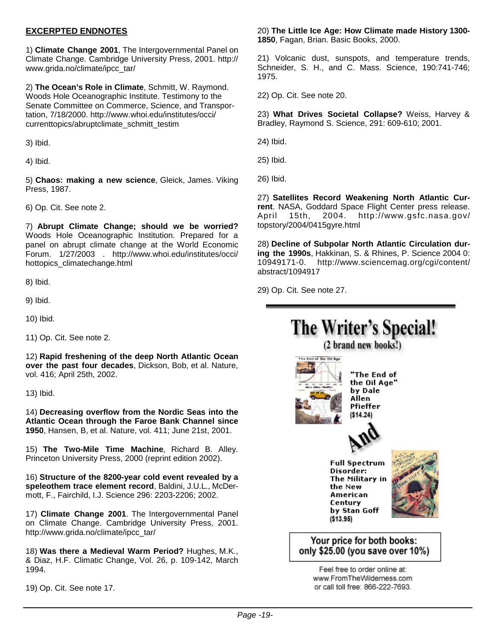#### **EXCERPTED ENDNOTES**

1) **Climate Change 2001**, The Intergovernmental Panel on Climate Change. Cambridge University Press, 2001. http:// www.grida.no/climate/ipcc\_tar/

2) **The Ocean's Role in Climate**, Schmitt, W. Raymond. Woods Hole Oceanographic Institute. Testimony to the Senate Committee on Commerce, Science, and Transportation, 7/18/2000. http://www.whoi.edu/institutes/occi/ currenttopics/abruptclimate\_schmitt\_testim

3) Ibid.

4) Ibid.

5) **Chaos: making a new science**, Gleick, James. Viking Press, 1987.

6) Op. Cit. See note 2.

7) **Abrupt Climate Change; should we be worried?** Woods Hole Oceanographic Institution. Prepared for a panel on abrupt climate change at the World Economic Forum. 1/27/2003 . http://www.whoi.edu/institutes/occi/ hottopics\_climatechange.html

8) Ibid.

9) Ibid.

10) Ibid.

11) Op. Cit. See note 2.

12) **Rapid freshening of the deep North Atlantic Ocean over the past four decades**, Dickson, Bob, et al. Nature, vol. 416; April 25th, 2002.

13) Ibid.

14) **Decreasing overflow from the Nordic Seas into the Atlantic Ocean through the Faroe Bank Channel since 1950**, Hansen, B, et al. Nature, vol. 411; June 21st, 2001.

15) **The Two-Mile Time Machine**, Richard B. Alley. Princeton University Press, 2000 (reprint edition 2002).

16) **Structure of the 8200-year cold event revealed by a speleothem trace element record**, Baldini, J.U.L., McDermott, F., Fairchild, I.J. Science 296: 2203-2206; 2002.

17) **Climate Change 2001**. The Intergovernmental Panel on Climate Change. Cambridge University Press, 2001. http://www.grida.no/climate/ipcc\_tar/

18) **Was there a Medieval Warm Period?** Hughes, M.K., & Diaz, H.F. Climatic Change, Vol. 26, p. 109-142, March 1994.

19) Op. Cit. See note 17.

#### 20) **The Little Ice Age: How Climate made History 1300- 1850**, Fagan, Brian. Basic Books, 2000.

21) Volcanic dust, sunspots, and temperature trends, Schneider, S. H., and C. Mass. Science, 190:741-746; 1975.

22) Op. Cit. See note 20.

23) **What Drives Societal Collapse?** Weiss, Harvey & Bradley, Raymond S. Science, 291: 609-610; 2001.

24) Ibid.

25) Ibid.

26) Ibid.

27) **Satellites Record Weakening North Atlantic Current**. NASA, Goddard Space Flight Center press release. April 15th, 2004. http://www.gsfc.nasa.gov/ topstory/2004/0415gyre.html

28) **Decline of Subpolar North Atlantic Circulation during the 1990s**, Hakkinan, S. & Rhines, P. Science 2004 0: 10949171-0. http://www.sciencemag.org/cgi/content/ abstract/1094917

29) Op. Cit. See note 27.

## The Writer's Special! (2 brand new books!) The End of the Oil Age



"The End of the Oil Age" by Dale Allen Pfieffer  $($14.24)$ 



**Full Spectrum** Disorder: The Military in the New **American** Century by Stan Goff  $($13.95)$ 



#### Your price for both books: only \$25.00 (you save over 10%)

Feel free to order online at: www.FromTheWilderness.com or call toll free: 866-222-7693.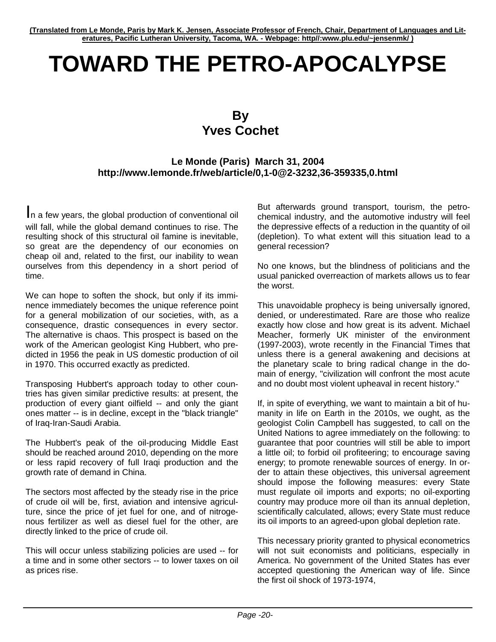# **TOWARD THE PETRO-APOCALYPSE**

### **By Yves Cochet**

#### **Le Monde (Paris) March 31, 2004 http://www.lemonde.fr/web/article/0,1-0@2-3232,36-359335,0.html**

In a few years, the global production of conventional oil will fall, while the global demand continues to rise. The resulting shock of this structural oil famine is inevitable, so great are the dependency of our economies on cheap oil and, related to the first, our inability to wean ourselves from this dependency in a short period of time.

We can hope to soften the shock, but only if its imminence immediately becomes the unique reference point for a general mobilization of our societies, with, as a consequence, drastic consequences in every sector. The alternative is chaos. This prospect is based on the work of the American geologist King Hubbert, who predicted in 1956 the peak in US domestic production of oil in 1970. This occurred exactly as predicted.

Transposing Hubbert's approach today to other countries has given similar predictive results: at present, the production of every giant oilfield -- and only the giant ones matter -- is in decline, except in the "black triangle" of Iraq-Iran-Saudi Arabia.

The Hubbert's peak of the oil-producing Middle East should be reached around 2010, depending on the more or less rapid recovery of full Iraqi production and the growth rate of demand in China.

The sectors most affected by the steady rise in the price of crude oil will be, first, aviation and intensive agriculture, since the price of jet fuel for one, and of nitrogenous fertilizer as well as diesel fuel for the other, are directly linked to the price of crude oil.

This will occur unless stabilizing policies are used -- for a time and in some other sectors -- to lower taxes on oil as prices rise.

But afterwards ground transport, tourism, the petrochemical industry, and the automotive industry will feel the depressive effects of a reduction in the quantity of oil (depletion). To what extent will this situation lead to a general recession?

No one knows, but the blindness of politicians and the usual panicked overreaction of markets allows us to fear the worst.

This unavoidable prophecy is being universally ignored, denied, or underestimated. Rare are those who realize exactly how close and how great is its advent. Michael Meacher, formerly UK minister of the environment (1997-2003), wrote recently in the Financial Times that unless there is a general awakening and decisions at the planetary scale to bring radical change in the domain of energy, "civilization will confront the most acute and no doubt most violent upheaval in recent history."

If, in spite of everything, we want to maintain a bit of humanity in life on Earth in the 2010s, we ought, as the geologist Colin Campbell has suggested, to call on the United Nations to agree immediately on the following: to guarantee that poor countries will still be able to import a little oil; to forbid oil profiteering; to encourage saving energy; to promote renewable sources of energy. In order to attain these objectives, this universal agreement should impose the following measures: every State must regulate oil imports and exports; no oil-exporting country may produce more oil than its annual depletion, scientifically calculated, allows; every State must reduce its oil imports to an agreed-upon global depletion rate.

This necessary priority granted to physical econometrics will not suit economists and politicians, especially in America. No government of the United States has ever accepted questioning the American way of life. Since the first oil shock of 1973-1974,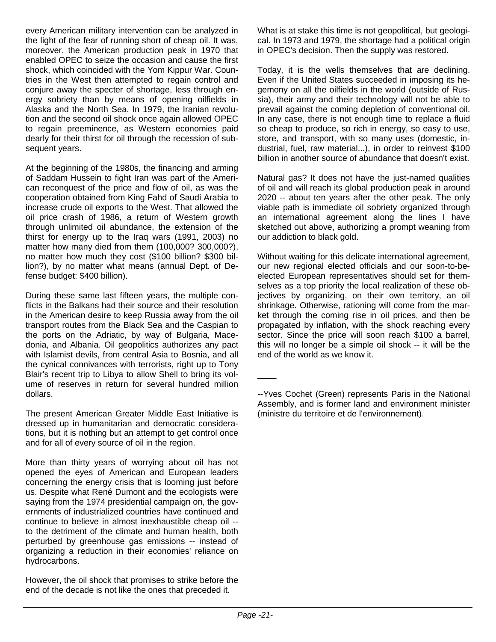every American military intervention can be analyzed in the light of the fear of running short of cheap oil. It was, moreover, the American production peak in 1970 that enabled OPEC to seize the occasion and cause the first shock, which coincided with the Yom Kippur War. Countries in the West then attempted to regain control and conjure away the specter of shortage, less through energy sobriety than by means of opening oilfields in Alaska and the North Sea. In 1979, the Iranian revolution and the second oil shock once again allowed OPEC to regain preeminence, as Western economies paid dearly for their thirst for oil through the recession of subsequent years.

At the beginning of the 1980s, the financing and arming of Saddam Hussein to fight Iran was part of the American reconquest of the price and flow of oil, as was the cooperation obtained from King Fahd of Saudi Arabia to increase crude oil exports to the West. That allowed the oil price crash of 1986, a return of Western growth through unlimited oil abundance, the extension of the thirst for energy up to the Iraq wars (1991, 2003) no matter how many died from them (100,000? 300,000?), no matter how much they cost (\$100 billion? \$300 billion?), by no matter what means (annual Dept. of Defense budget: \$400 billion).

During these same last fifteen years, the multiple conflicts in the Balkans had their source and their resolution in the American desire to keep Russia away from the oil transport routes from the Black Sea and the Caspian to the ports on the Adriatic, by way of Bulgaria, Macedonia, and Albania. Oil geopolitics authorizes any pact with Islamist devils, from central Asia to Bosnia, and all the cynical connivances with terrorists, right up to Tony Blair's recent trip to Libya to allow Shell to bring its volume of reserves in return for several hundred million dollars.

The present American Greater Middle East Initiative is dressed up in humanitarian and democratic considerations, but it is nothing but an attempt to get control once and for all of every source of oil in the region.

More than thirty years of worrying about oil has not opened the eyes of American and European leaders concerning the energy crisis that is looming just before us. Despite what René Dumont and the ecologists were saying from the 1974 presidential campaign on, the governments of industrialized countries have continued and continue to believe in almost inexhaustible cheap oil - to the detriment of the climate and human health, both perturbed by greenhouse gas emissions -- instead of organizing a reduction in their economies' reliance on hydrocarbons.

However, the oil shock that promises to strike before the end of the decade is not like the ones that preceded it.

What is at stake this time is not geopolitical, but geological. In 1973 and 1979, the shortage had a political origin in OPEC's decision. Then the supply was restored.

Today, it is the wells themselves that are declining. Even if the United States succeeded in imposing its hegemony on all the oilfields in the world (outside of Russia), their army and their technology will not be able to prevail against the coming depletion of conventional oil. In any case, there is not enough time to replace a fluid so cheap to produce, so rich in energy, so easy to use, store, and transport, with so many uses (domestic, industrial, fuel, raw material...), in order to reinvest \$100 billion in another source of abundance that doesn't exist.

Natural gas? It does not have the just-named qualities of oil and will reach its global production peak in around 2020 -- about ten years after the other peak. The only viable path is immediate oil sobriety organized through an international agreement along the lines I have sketched out above, authorizing a prompt weaning from our addiction to black gold.

Without waiting for this delicate international agreement, our new regional elected officials and our soon-to-beelected European representatives should set for themselves as a top priority the local realization of these objectives by organizing, on their own territory, an oil shrinkage. Otherwise, rationing will come from the market through the coming rise in oil prices, and then be propagated by inflation, with the shock reaching every sector. Since the price will soon reach \$100 a barrel, this will no longer be a simple oil shock -- it will be the end of the world as we know it.

 $\overline{\phantom{a}}$ 

<sup>--</sup>Yves Cochet (Green) represents Paris in the National Assembly, and is former land and environment minister (ministre du territoire et de l'environnement).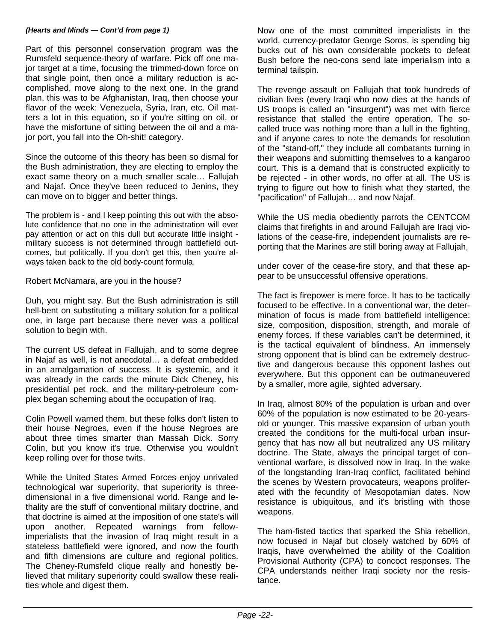#### *(Hearts and Minds — Cont'd from page 1)*

Part of this personnel conservation program was the Rumsfeld sequence-theory of warfare. Pick off one major target at a time, focusing the trimmed-down force on that single point, then once a military reduction is accomplished, move along to the next one. In the grand plan, this was to be Afghanistan, Iraq, then choose your flavor of the week: Venezuela, Syria, Iran, etc. Oil matters a lot in this equation, so if you're sitting on oil, or have the misfortune of sitting between the oil and a major port, you fall into the Oh-shit! category.

Since the outcome of this theory has been so dismal for the Bush administration, they are electing to employ the exact same theory on a much smaller scale… Fallujah and Najaf. Once they've been reduced to Jenins, they can move on to bigger and better things.

The problem is - and I keep pointing this out with the absolute confidence that no one in the administration will ever pay attention or act on this dull but accurate little insight military success is not determined through battlefield outcomes, but politically. If you don't get this, then you're always taken back to the old body-count formula.

Robert McNamara, are you in the house?

Duh, you might say. But the Bush administration is still hell-bent on substituting a military solution for a political one, in large part because there never was a political solution to begin with.

The current US defeat in Fallujah, and to some degree in Najaf as well, is not anecdotal… a defeat embedded in an amalgamation of success. It is systemic, and it was already in the cards the minute Dick Cheney, his presidential pet rock, and the military-petroleum complex began scheming about the occupation of Iraq.

Colin Powell warned them, but these folks don't listen to their house Negroes, even if the house Negroes are about three times smarter than Massah Dick. Sorry Colin, but you know it's true. Otherwise you wouldn't keep rolling over for those twits.

While the United States Armed Forces enjoy unrivaled technological war superiority, that superiority is threedimensional in a five dimensional world. Range and lethality are the stuff of conventional military doctrine, and that doctrine is aimed at the imposition of one state's will upon another. Repeated warnings from fellowimperialists that the invasion of Iraq might result in a stateless battlefield were ignored, and now the fourth and fifth dimensions are culture and regional politics. The Cheney-Rumsfeld clique really and honestly believed that military superiority could swallow these realities whole and digest them.

Now one of the most committed imperialists in the world, currency-predator George Soros, is spending big bucks out of his own considerable pockets to defeat Bush before the neo-cons send late imperialism into a terminal tailspin.

The revenge assault on Fallujah that took hundreds of civilian lives (every Iraqi who now dies at the hands of US troops is called an "insurgent") was met with fierce resistance that stalled the entire operation. The socalled truce was nothing more than a lull in the fighting, and if anyone cares to note the demands for resolution of the "stand-off," they include all combatants turning in their weapons and submitting themselves to a kangaroo court. This is a demand that is constructed explicitly to be rejected - in other words, no offer at all. The US is trying to figure out how to finish what they started, the "pacification" of Fallujah… and now Najaf.

While the US media obediently parrots the CENTCOM claims that firefights in and around Fallujah are Iraqi violations of the cease-fire, independent journalists are reporting that the Marines are still boring away at Fallujah,

under cover of the cease-fire story, and that these appear to be unsuccessful offensive operations.

The fact is firepower is mere force. It has to be tactically focused to be effective. In a conventional war, the determination of focus is made from battlefield intelligence: size, composition, disposition, strength, and morale of enemy forces. If these variables can't be determined, it is the tactical equivalent of blindness. An immensely strong opponent that is blind can be extremely destructive and dangerous because this opponent lashes out everywhere. But this opponent can be outmaneuvered by a smaller, more agile, sighted adversary.

In Iraq, almost 80% of the population is urban and over 60% of the population is now estimated to be 20-yearsold or younger. This massive expansion of urban youth created the conditions for the multi-focal urban insurgency that has now all but neutralized any US military doctrine. The State, always the principal target of conventional warfare, is dissolved now in Iraq. In the wake of the longstanding Iran-Iraq conflict, facilitated behind the scenes by Western provocateurs, weapons proliferated with the fecundity of Mesopotamian dates. Now resistance is ubiquitous, and it's bristling with those weapons.

The ham-fisted tactics that sparked the Shia rebellion, now focused in Najaf but closely watched by 60% of Iraqis, have overwhelmed the ability of the Coalition Provisional Authority (CPA) to concoct responses. The CPA understands neither Iraqi society nor the resistance.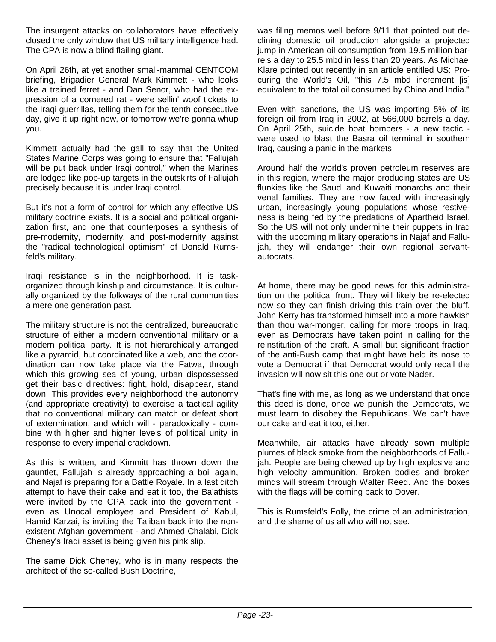The insurgent attacks on collaborators have effectively closed the only window that US military intelligence had. The CPA is now a blind flailing giant.

On April 26th, at yet another small-mammal CENTCOM briefing, Brigadier General Mark Kimmett - who looks like a trained ferret - and Dan Senor, who had the expression of a cornered rat - were sellin' woof tickets to the Iraqi guerrillas, telling them for the tenth consecutive day, give it up right now, or tomorrow we're gonna whup you.

Kimmett actually had the gall to say that the United States Marine Corps was going to ensure that "Fallujah will be put back under Iraqi control," when the Marines are lodged like pop-up targets in the outskirts of Fallujah precisely because it is under Iraqi control.

But it's not a form of control for which any effective US military doctrine exists. It is a social and political organization first, and one that counterposes a synthesis of pre-modernity, modernity, and post-modernity against the "radical technological optimism" of Donald Rumsfeld's military.

Iraqi resistance is in the neighborhood. It is taskorganized through kinship and circumstance. It is culturally organized by the folkways of the rural communities a mere one generation past.

The military structure is not the centralized, bureaucratic structure of either a modern conventional military or a modern political party. It is not hierarchically arranged like a pyramid, but coordinated like a web, and the coordination can now take place via the Fatwa, through which this growing sea of young, urban dispossessed get their basic directives: fight, hold, disappear, stand down. This provides every neighborhood the autonomy (and appropriate creativity) to exercise a tactical agility that no conventional military can match or defeat short of extermination, and which will - paradoxically - combine with higher and higher levels of political unity in response to every imperial crackdown.

As this is written, and Kimmitt has thrown down the gauntlet, Fallujah is already approaching a boil again, and Najaf is preparing for a Battle Royale. In a last ditch attempt to have their cake and eat it too, the Ba'athists were invited by the CPA back into the government even as Unocal employee and President of Kabul, Hamid Karzai, is inviting the Taliban back into the nonexistent Afghan government - and Ahmed Chalabi, Dick Cheney's Iraqi asset is being given his pink slip.

The same Dick Cheney, who is in many respects the architect of the so-called Bush Doctrine,

was filing memos well before 9/11 that pointed out declining domestic oil production alongside a projected jump in American oil consumption from 19.5 million barrels a day to 25.5 mbd in less than 20 years. As Michael Klare pointed out recently in an article entitled US: Procuring the World's Oil, "this 7.5 mbd increment [is] equivalent to the total oil consumed by China and India."

Even with sanctions, the US was importing 5% of its foreign oil from Iraq in 2002, at 566,000 barrels a day. On April 25th, suicide boat bombers - a new tactic were used to blast the Basra oil terminal in southern Iraq, causing a panic in the markets.

Around half the world's proven petroleum reserves are in this region, where the major producing states are US flunkies like the Saudi and Kuwaiti monarchs and their venal families. They are now faced with increasingly urban, increasingly young populations whose restiveness is being fed by the predations of Apartheid Israel. So the US will not only undermine their puppets in Iraq with the upcoming military operations in Najaf and Fallujah, they will endanger their own regional servantautocrats.

At home, there may be good news for this administration on the political front. They will likely be re-elected now so they can finish driving this train over the bluff. John Kerry has transformed himself into a more hawkish than thou war-monger, calling for more troops in Iraq, even as Democrats have taken point in calling for the reinstitution of the draft. A small but significant fraction of the anti-Bush camp that might have held its nose to vote a Democrat if that Democrat would only recall the invasion will now sit this one out or vote Nader.

That's fine with me, as long as we understand that once this deed is done, once we punish the Democrats, we must learn to disobey the Republicans. We can't have our cake and eat it too, either.

Meanwhile, air attacks have already sown multiple plumes of black smoke from the neighborhoods of Fallujah. People are being chewed up by high explosive and high velocity ammunition. Broken bodies and broken minds will stream through Walter Reed. And the boxes with the flags will be coming back to Dover.

This is Rumsfeld's Folly, the crime of an administration, and the shame of us all who will not see.